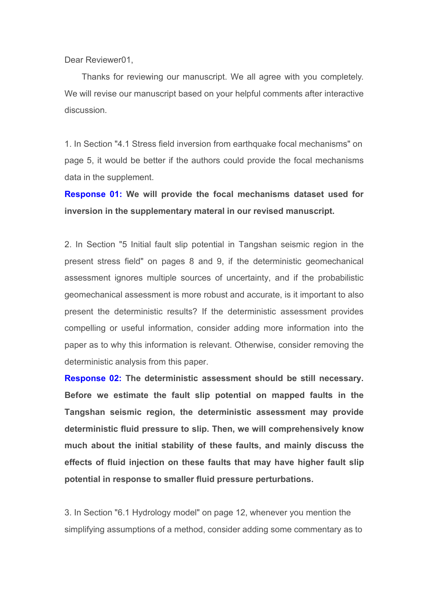Dear Reviewer01,

Thanks for reviewing our manuscript. We all agree with you completely. We will revise our manuscript based on your helpful comments after interactive discussion.

1. In Section "4.1 Stress field inversion from earthquake focal mechanisms" on page 5, it would be better if the authors could provide the focal mechanisms data in the supplement.

**Response 01: We will provide the focal mechanisms dataset used for inversion in the supplementary materal in our revised manuscript.**

2. In Section "5 Initial fault slip potential in Tangshan seismic region in the present stress field" on pages 8 and 9, if the deterministic geomechanical assessment ignores multiple sources of uncertainty, and if the probabilistic geomechanical assessment is more robust and accurate, is it important to also present the deterministic results? If the deterministic assessment provides compelling or useful information, consider adding more information into the paper as to why this information is relevant. Otherwise, consider removing the deterministic analysis from this paper.

**Response 02: The deterministic assessment should be still necessary. Before we estimate the fault slip potential on mapped faults in the Tangshan seismic region, the deterministic assessment may provide deterministic fluid pressure to slip. Then, we will comprehensively know much about the initial stability of these faults, and mainly discuss the effects of fluid injection on these faults that may have higher fault slip potential in response to smaller fluid pressure perturbations.**

3. In Section "6.1 Hydrology model" on page 12, whenever you mention the simplifying assumptions of a method, consider adding some commentary as to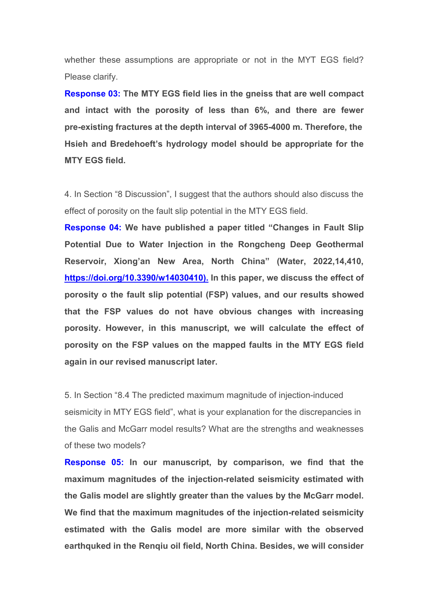whether these assumptions are appropriate or not in the MYT EGS field? Please clarify.

**Response 03: The MTY EGS field lies in the gneiss that are well compact and intact with the porosity of less than 6%, and there are fewer pre-existing fractures at the depth interval of 3965-4000 m. Therefore, the Hsieh and Bredehoeft's hydrology model should be appropriate for the MTY EGS field.**

4. In Section "8 Discussion", I suggest that the authors should also discuss the effect of porosity on the fault slip potential in the MTY EGS field.

**Response 04: We have published a papertitled "Changes in Fault Slip Potential Due to Water Injection in the Rongcheng Deep Geothermal Reservoir, Xiong'an New Area, North China" (Water,2022,14,410, [https://doi.org/10.3390/w14030410\).](https://doi.org/10.3390/w14030410).) In this paper, we discuss the effect of porosity o the fault slip potential (FSP) values, and our results showed that the FSP values do not have obvious changes with increasing porosity. However, in this manuscript, we will calculate the effect of porosity on the FSP values on the mapped faults in the MTY EGS field again in our revised manuscript later.**

5. In Section "8.4 The predicted maximum magnitude of injection-induced seismicity in MTY EGS field", what is your explanation for the discrepancies in the Galis and McGarr model results? What are the strengths and weaknesses of these two models?

**Response 05: In our manuscript, by comparison, we find that the maximum magnitudes of the injection-related seismicity estimated with the Galis model are slightly greater than the values by the McGarr model. We find thatthe maximum magnitudes of the injection-related seismicity estimated with the Galis model are more similar with the observed earthquked in the Renqiu oil field, North China. Besides, we will consider**